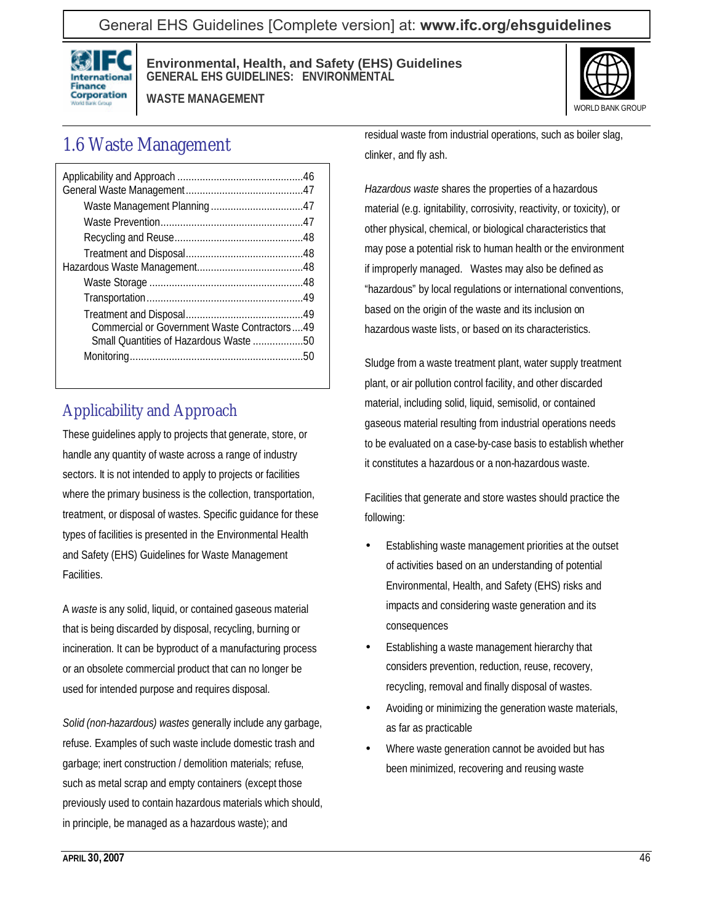### General EHS Guidelines [Complete version] at: **[www.ifc.org/ehsguidelines](http://www.ifc.org/ehsguidelines)**



#### **Environmental, Health, and Safety (EHS) Guidelines GENERAL EHS GUIDELINES: ENVIRONMENTAL**

**WASTE MANAGEMENT**



# 1.6 Waste Management

| Commercial or Government Waste Contractors49 |  |
|----------------------------------------------|--|
| Small Quantities of Hazardous Waste 50       |  |
|                                              |  |
|                                              |  |

## Applicability and Approach

These guidelines apply to projects that generate, store, or handle any quantity of waste across a range of industry sectors. It is not intended to apply to projects or facilities where the primary business is the collection, transportation, treatment, or disposal of wastes. Specific guidance for these types of facilities is presented in the Environmental Health and Safety (EHS) Guidelines for Waste Management Facilities.

A *waste* is any solid, liquid, or contained gaseous material that is being discarded by disposal, recycling, burning or incineration. It can be byproduct of a manufacturing process or an obsolete commercial product that can no longer be used for intended purpose and requires disposal.

*Solid (non-hazardous) wastes* generally include any garbage, refuse. Examples of such waste include domestic trash and garbage; inert construction / demolition materials; refuse, such as metal scrap and empty containers (except those previously used to contain hazardous materials which should, in principle, be managed as a hazardous waste); and

residual waste from industrial operations, such as boiler slag, clinker, and fly ash.

*Hazardous waste* shares the properties of a hazardous material (e.g. ignitability, corrosivity, reactivity, or toxicity), or other physical, chemical, or biological characteristics that may pose a potential risk to human health or the environment if improperly managed. Wastes may also be defined as "hazardous" by local regulations or international conventions, based on the origin of the waste and its inclusion on hazardous waste lists, or based on its characteristics.

Sludge from a waste treatment plant, water supply treatment plant, or air pollution control facility, and other discarded material, including solid, liquid, semisolid, or contained gaseous material resulting from industrial operations needs to be evaluated on a case-by-case basis to establish whether it constitutes a hazardous or a non-hazardous waste.

Facilities that generate and store wastes should practice the following:

- Establishing waste management priorities at the outset of activities based on an understanding of potential Environmental, Health, and Safety (EHS) risks and impacts and considering waste generation and its consequences
- Establishing a waste management hierarchy that considers prevention, reduction, reuse, recovery, recycling, removal and finally disposal of wastes.
- Avoiding or minimizing the generation waste materials, as far as practicable
- Where waste generation cannot be avoided but has been minimized, recovering and reusing waste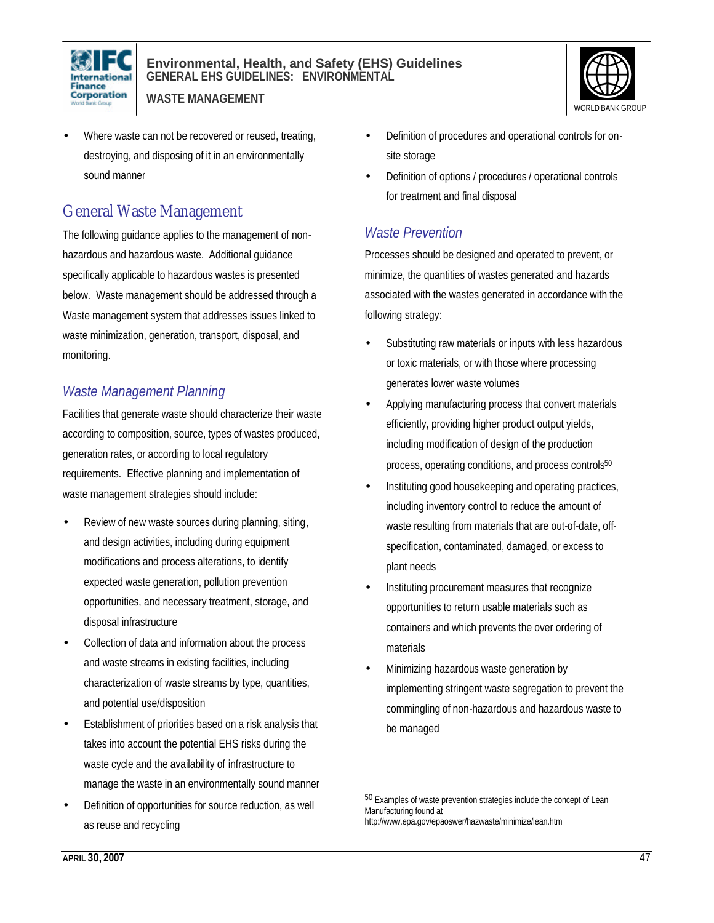



- **WASTE MANAGEMENT**
- Where waste can not be recovered or reused, treating, destroying, and disposing of it in an environmentally sound manner

## General Waste Management

The following guidance applies to the management of nonhazardous and hazardous waste. Additional guidance specifically applicable to hazardous wastes is presented below. Waste management should be addressed through a Waste management system that addresses issues linked to waste minimization, generation, transport, disposal, and monitoring.

### *Waste Management Planning*

Facilities that generate waste should characterize their waste according to composition, source, types of wastes produced, generation rates, or according to local regulatory requirements. Effective planning and implementation of waste management strategies should include:

- Review of new waste sources during planning, siting, and design activities, including during equipment modifications and process alterations, to identify expected waste generation, pollution prevention opportunities, and necessary treatment, storage, and disposal infrastructure
- Collection of data and information about the process and waste streams in existing facilities, including characterization of waste streams by type, quantities, and potential use/disposition
- Establishment of priorities based on a risk analysis that takes into account the potential EHS risks during the waste cycle and the availability of infrastructure to manage the waste in an environmentally sound manner
- Definition of opportunities for source reduction, as well as reuse and recycling
- Definition of procedures and operational controls for onsite storage
- Definition of options / procedures / operational controls for treatment and final disposal

### *Waste Prevention*

Processes should be designed and operated to prevent, or minimize, the quantities of wastes generated and hazards associated with the wastes generated in accordance with the following strategy:

- Substituting raw materials or inputs with less hazardous or toxic materials, or with those where processing generates lower waste volumes
- Applying manufacturing process that convert materials efficiently, providing higher product output yields, including modification of design of the production process, operating conditions, and process controls<sup>50</sup>
- Instituting good housekeeping and operating practices, including inventory control to reduce the amount of waste resulting from materials that are out-of-date, offspecification, contaminated, damaged, or excess to plant needs
- Instituting procurement measures that recognize opportunities to return usable materials such as containers and which prevents the over ordering of materials
- Minimizing hazardous waste generation by implementing stringent waste segregation to prevent the commingling of non-hazardous and hazardous waste to be managed

 $\overline{a}$ 

<sup>50</sup> Examples of waste prevention strategies include the concept of Lean Manufacturing found at http://www.epa.gov/epaoswer/hazwaste/minimize/lean.htm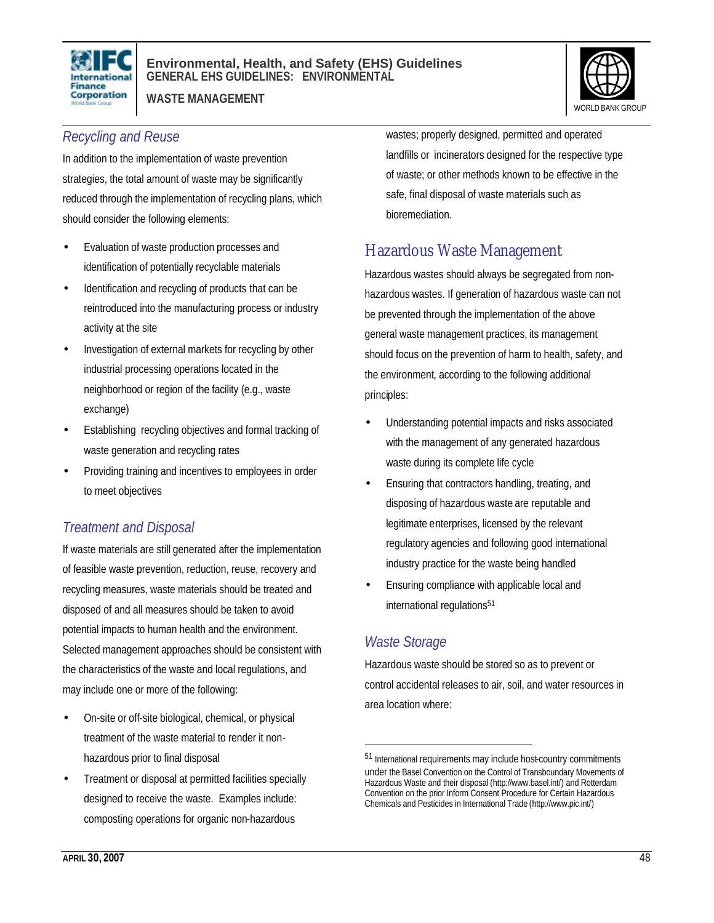

**WASTE MANAGEMENT**



### *Recycling and Reuse*

In addition to the implementation of waste prevention strategies, the total amount of waste may be significantly reduced through the implementation of recycling plans, which should consider the following elements:

- Evaluation of waste production processes and identification of potentially recyclable materials
- Identification and recycling of products that can be reintroduced into the manufacturing process or industry activity at the site
- Investigation of external markets for recycling by other industrial processing operations located in the neighborhood or region of the facility (e.g., waste exchange)
- Establishing recycling objectives and formal tracking of waste generation and recycling rates
- Providing training and incentives to employees in order to meet objectives

### *Treatment and Disposal*

If waste materials are still generated after the implementation of feasible waste prevention, reduction, reuse, recovery and recycling measures, waste materials should be treated and disposed of and all measures should be taken to avoid potential impacts to human health and the environment. Selected management approaches should be consistent with the characteristics of the waste and local regulations, and may include one or more of the following:

- On-site or off-site biological, chemical, or physical treatment of the waste material to render it nonhazardous prior to final disposal
- Treatment or disposal at permitted facilities specially designed to receive the waste. Examples include: composting operations for organic non-hazardous

wastes; properly designed, permitted and operated landfills or incinerators designed for the respective type of waste; or other methods known to be effective in the safe, final disposal of waste materials such as bioremediation.

## Hazardous Waste Management

Hazardous wastes should always be segregated from nonhazardous wastes. If generation of hazardous waste can not be prevented through the implementation of the above general waste management practices, its management should focus on the prevention of harm to health, safety, and the environment, according to the following additional principles:

- Understanding potential impacts and risks associated with the management of any generated hazardous waste during its complete life cycle
- Ensuring that contractors handling, treating, and disposing of hazardous waste are reputable and legitimate enterprises, licensed by the relevant regulatory agencies and following good international industry practice for the waste being handled
- Ensuring compliance with applicable local and international regulations<sup>51</sup>

### *Waste Storage*

 $\overline{a}$ 

Hazardous waste should be stored so as to prevent or control accidental releases to air, soil, and water resources in area location where:

<sup>51</sup> International requirements may include host-country commitments under the Basel Convention on the Control of Transboundary Movements of Hazardous Waste and their disposal (http://www.basel.int/) and Rotterdam Convention on the prior Inform Consent Procedure for Certain Hazardous Chemicals and Pesticides in International Trade (http://www.pic.int/)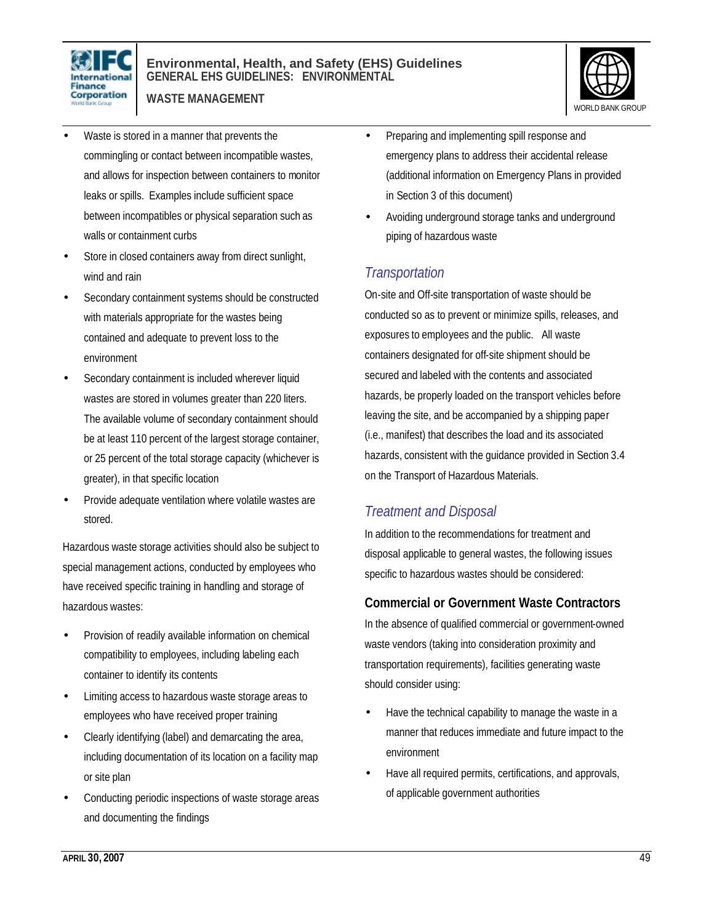

**WASTE MANAGEMENT**



- Waste is stored in a manner that prevents the commingling or contact between incompatible wastes, and allows for inspection between containers to monitor leaks or spills. Examples include sufficient space between incompatibles or physical separation such as walls or containment curbs
- Store in closed containers away from direct sunlight, wind and rain
- Secondary containment systems should be constructed with materials appropriate for the wastes being contained and adequate to prevent loss to the environment
- Secondary containment is included wherever liquid wastes are stored in volumes greater than 220 liters. The available volume of secondary containment should be at least 110 percent of the largest storage container, or 25 percent of the total storage capacity (whichever is greater), in that specific location
- Provide adequate ventilation where volatile wastes are stored.

Hazardous waste storage activities should also be subject to special management actions, conducted by employees who have received specific training in handling and storage of hazardous wastes:

- Provision of readily available information on chemical compatibility to employees, including labeling each container to identify its contents
- Limiting access to hazardous waste storage areas to employees who have received proper training
- Clearly identifying (label) and demarcating the area, including documentation of its location on a facility map or site plan
- Conducting periodic inspections of waste storage areas and documenting the findings
- Preparing and implementing spill response and emergency plans to address their accidental release (additional information on Emergency Plans in provided in Section 3 of this document)
- Avoiding underground storage tanks and underground piping of hazardous waste

### *Transportation*

On-site and Off-site transportation of waste should be conducted so as to prevent or minimize spills, releases, and exposures to employees and the public. All waste containers designated for off-site shipment should be secured and labeled with the contents and associated hazards, be properly loaded on the transport vehicles before leaving the site, and be accompanied by a shipping paper (i.e., manifest) that describes the load and its associated hazards, consistent with the guidance provided in Section 3.4 on the Transport of Hazardous Materials.

### *Treatment and Disposal*

In addition to the recommendations for treatment and disposal applicable to general wastes, the following issues specific to hazardous wastes should be considered:

### **Commercial or Government Waste Contractors**

In the absence of qualified commercial or government-owned waste vendors (taking into consideration proximity and transportation requirements), facilities generating waste should consider using:

- Have the technical capability to manage the waste in a manner that reduces immediate and future impact to the environment
- Have all required permits, certifications, and approvals, of applicable government authorities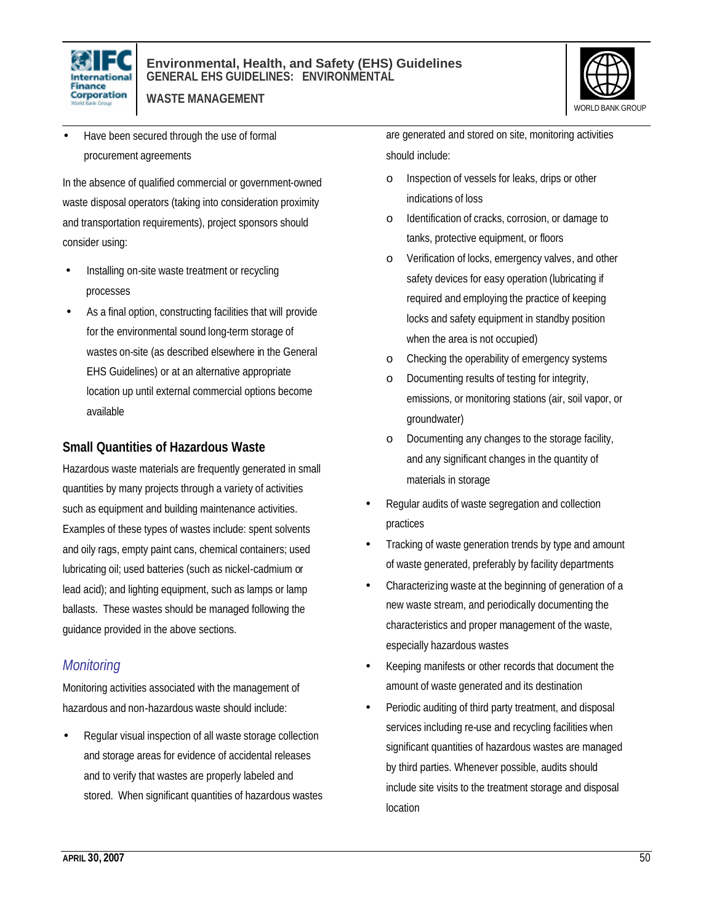

**WASTE MANAGEMENT**



• Have been secured through the use of formal procurement agreements

In the absence of qualified commercial or government-owned waste disposal operators (taking into consideration proximity and transportation requirements), project sponsors should consider using:

- Installing on-site waste treatment or recycling processes
- As a final option, constructing facilities that will provide for the environmental sound long-term storage of wastes on-site (as described elsewhere in the General EHS Guidelines) or at an alternative appropriate location up until external commercial options become available

#### **Small Quantities of Hazardous Waste**

Hazardous waste materials are frequently generated in small quantities by many projects through a variety of activities such as equipment and building maintenance activities. Examples of these types of wastes include: spent solvents and oily rags, empty paint cans, chemical containers; used lubricating oil; used batteries (such as nickel-cadmium or lead acid); and lighting equipment, such as lamps or lamp ballasts. These wastes should be managed following the guidance provided in the above sections.

### *Monitoring*

Monitoring activities associated with the management of hazardous and non-hazardous waste should include:

• Regular visual inspection of all waste storage collection and storage areas for evidence of accidental releases and to verify that wastes are properly labeled and stored. When significant quantities of hazardous wastes are generated and stored on site, monitoring activities should include:

- o Inspection of vessels for leaks, drips or other indications of loss
- o Identification of cracks, corrosion, or damage to tanks, protective equipment, or floors
- o Verification of locks, emergency valves, and other safety devices for easy operation (lubricating if required and employing the practice of keeping locks and safety equipment in standby position when the area is not occupied)
- o Checking the operability of emergency systems
- o Documenting results of testing for integrity, emissions, or monitoring stations (air, soil vapor, or groundwater)
- Documenting any changes to the storage facility, and any significant changes in the quantity of materials in storage
- Regular audits of waste segregation and collection practices
- Tracking of waste generation trends by type and amount of waste generated, preferably by facility departments
- Characterizing waste at the beginning of generation of a new waste stream, and periodically documenting the characteristics and proper management of the waste, especially hazardous wastes
- Keeping manifests or other records that document the amount of waste generated and its destination
- Periodic auditing of third party treatment, and disposal services including re-use and recycling facilities when significant quantities of hazardous wastes are managed by third parties. Whenever possible, audits should include site visits to the treatment storage and disposal location